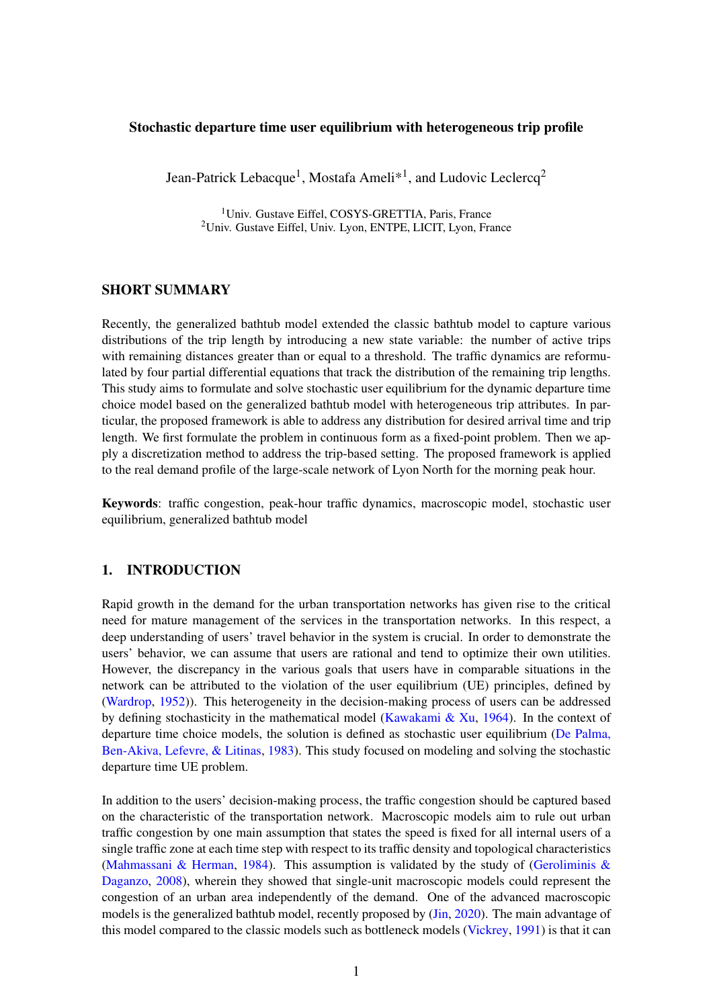### Stochastic departure time user equilibrium with heterogeneous trip profile

Jean-Patrick Lebacque<sup>1</sup>, Mostafa Ameli<sup>\*1</sup>, and Ludovic Leclercq<sup>2</sup>

<sup>1</sup>Univ. Gustave Eiffel, COSYS-GRETTIA, Paris, France <sup>2</sup>Univ. Gustave Eiffel, Univ. Lyon, ENTPE, LICIT, Lyon, France

# SHORT SUMMARY

Recently, the generalized bathtub model extended the classic bathtub model to capture various distributions of the trip length by introducing a new state variable: the number of active trips with remaining distances greater than or equal to a threshold. The traffic dynamics are reformulated by four partial differential equations that track the distribution of the remaining trip lengths. This study aims to formulate and solve stochastic user equilibrium for the dynamic departure time choice model based on the generalized bathtub model with heterogeneous trip attributes. In particular, the proposed framework is able to address any distribution for desired arrival time and trip length. We first formulate the problem in continuous form as a fixed-point problem. Then we apply a discretization method to address the trip-based setting. The proposed framework is applied to the real demand profile of the large-scale network of Lyon North for the morning peak hour.

Keywords: traffic congestion, peak-hour traffic dynamics, macroscopic model, stochastic user equilibrium, generalized bathtub model

## 1. INTRODUCTION

Rapid growth in the demand for the urban transportation networks has given rise to the critical need for mature management of the services in the transportation networks. In this respect, a deep understanding of users' travel behavior in the system is crucial. In order to demonstrate the users' behavior, we can assume that users are rational and tend to optimize their own utilities. However, the discrepancy in the various goals that users have in comparable situations in the network can be attributed to the violation of the user equilibrium (UE) principles, defined by [\(Wardrop,](#page-7-0) [1952\)](#page-7-0)). This heterogeneity in the decision-making process of users can be addressed by defining stochasticity in the mathematical model (Kawakami  $\&$  Xu, [1964\)](#page-6-0). In the context of departure time choice models, the solution is defined as stochastic user equilibrium [\(De Palma,](#page-6-1) [Ben-Akiva, Lefevre, & Litinas,](#page-6-1) [1983\)](#page-6-1). This study focused on modeling and solving the stochastic departure time UE problem.

In addition to the users' decision-making process, the traffic congestion should be captured based on the characteristic of the transportation network. Macroscopic models aim to rule out urban traffic congestion by one main assumption that states the speed is fixed for all internal users of a single traffic zone at each time step with respect to its traffic density and topological characteristics [\(Mahmassani & Herman,](#page-6-2) [1984\)](#page-6-2). This assumption is validated by the study of (Geroliminis  $\&$ [Daganzo,](#page-6-3) [2008\)](#page-6-3), wherein they showed that single-unit macroscopic models could represent the congestion of an urban area independently of the demand. One of the advanced macroscopic models is the generalized bathtub model, recently proposed by [\(Jin,](#page-6-4) [2020\)](#page-6-4). The main advantage of this model compared to the classic models such as bottleneck models [\(Vickrey,](#page-7-1) [1991\)](#page-7-1) is that it can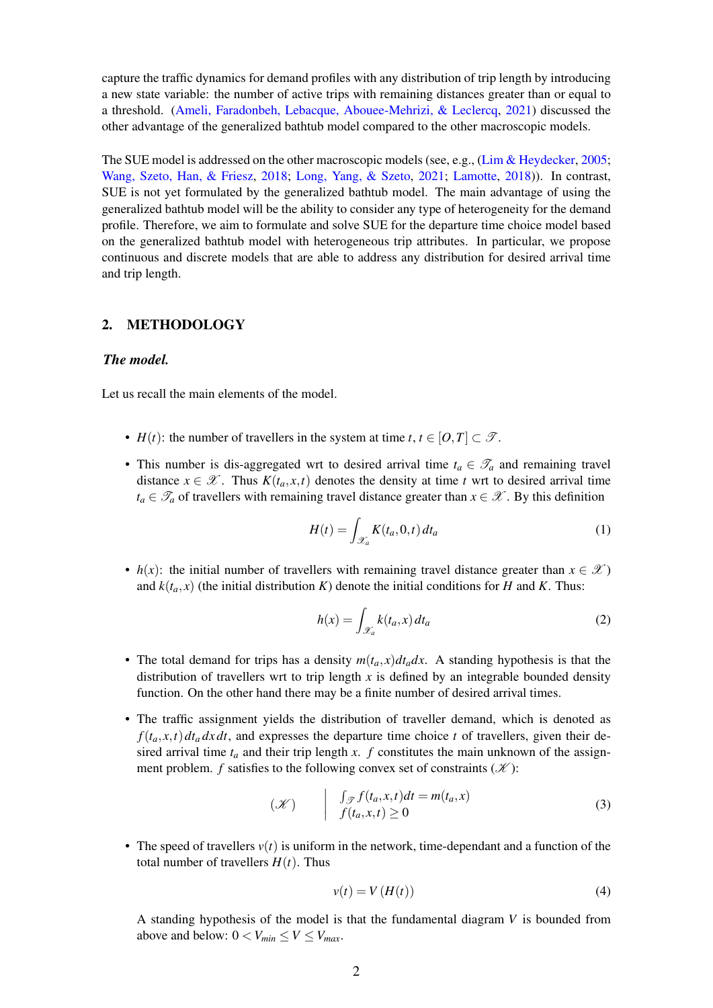capture the traffic dynamics for demand profiles with any distribution of trip length by introducing a new state variable: the number of active trips with remaining distances greater than or equal to a threshold. [\(Ameli, Faradonbeh, Lebacque, Abouee-Mehrizi, & Leclercq,](#page-6-5) [2021\)](#page-6-5) discussed the other advantage of the generalized bathtub model compared to the other macroscopic models.

The SUE model is addressed on the other macroscopic models (see, e.g., [\(Lim & Heydecker,](#page-6-6) [2005;](#page-6-6) [Wang, Szeto, Han, & Friesz,](#page-7-2) [2018;](#page-7-2) [Long, Yang, & Szeto,](#page-6-7) [2021;](#page-6-7) [Lamotte,](#page-6-8) [2018\)](#page-6-8)). In contrast, SUE is not yet formulated by the generalized bathtub model. The main advantage of using the generalized bathtub model will be the ability to consider any type of heterogeneity for the demand profile. Therefore, we aim to formulate and solve SUE for the departure time choice model based on the generalized bathtub model with heterogeneous trip attributes. In particular, we propose continuous and discrete models that are able to address any distribution for desired arrival time and trip length.

# 2. METHODOLOGY

### *The model.*

Let us recall the main elements of the model.

- *H*(*t*): the number of travellers in the system at time *t*, *t*  $\in$  [*O*,*T*]  $\subset$   $\mathcal{T}$ .
- This number is dis-aggregated wrt to desired arrival time  $t_a \in \mathcal{T}_a$  and remaining travel distance  $x \in \mathcal{X}$ . Thus  $K(t_a, x, t)$  denotes the density at time *t* wrt to desired arrival time  $t_a \in \mathcal{T}_a$  of travellers with remaining travel distance greater than  $x \in \mathcal{X}$ . By this definition

$$
H(t) = \int_{\mathcal{X}_a} K(t_a, 0, t) dt_a \tag{1}
$$

• *h(x)*: the initial number of travellers with remaining travel distance greater than  $x \in \mathcal{X}$ and  $k(t_a, x)$  (the initial distribution *K*) denote the initial conditions for *H* and *K*. Thus:

$$
h(x) = \int_{\mathcal{X}_a} k(t_a, x) dt_a \tag{2}
$$

- The total demand for trips has a density  $m(t_a, x) dt_a dx$ . A standing hypothesis is that the distribution of travellers wrt to trip length *x* is defined by an integrable bounded density function. On the other hand there may be a finite number of desired arrival times.
- The traffic assignment yields the distribution of traveller demand, which is denoted as  $f(t_a, x, t) dt_a dx dt$ , and expresses the departure time choice *t* of travellers, given their desired arrival time  $t_a$  and their trip length  $x$ .  $f$  constitutes the main unknown of the assignment problem. *f* satisfies to the following convex set of constraints  $(X)$ :

$$
(\mathcal{K}) \qquad \begin{array}{l} \int_{\mathcal{J}} f(t_a, x, t) dt = m(t_a, x) \\ f(t_a, x, t) \ge 0 \end{array} \tag{3}
$$

• The speed of travellers  $v(t)$  is uniform in the network, time-dependant and a function of the total number of travellers  $H(t)$ . Thus

<span id="page-1-0"></span>
$$
v(t) = V\left(H(t)\right) \tag{4}
$$

A standing hypothesis of the model is that the fundamental diagram *V* is bounded from above and below:  $0 < V_{min} \leq V \leq V_{max}$ .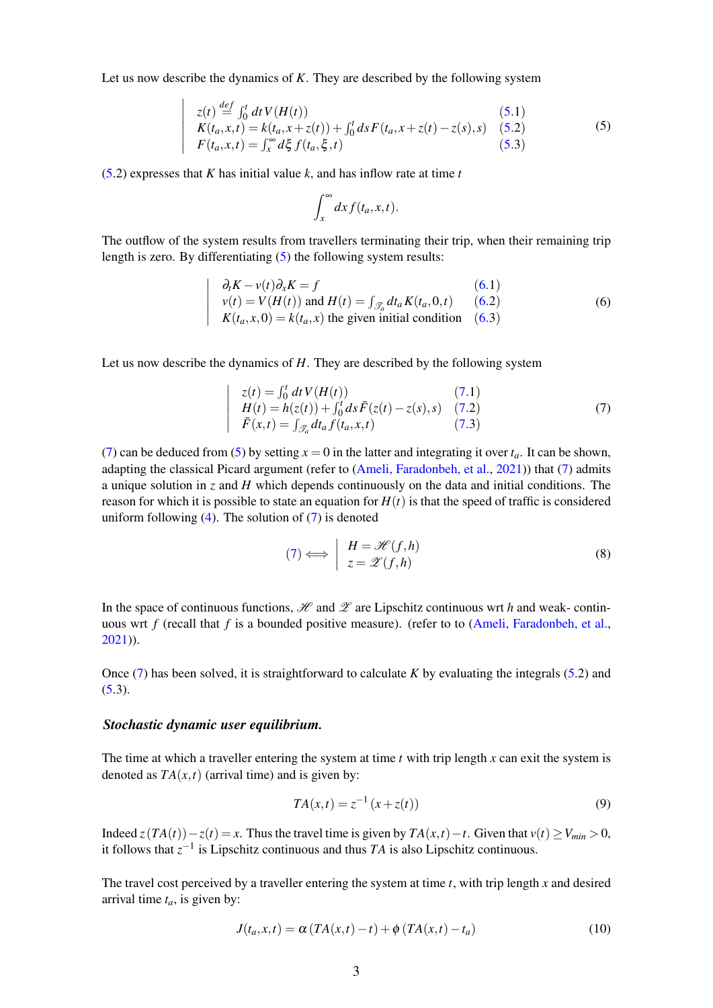Let us now describe the dynamics of *K*. They are described by the following system

<span id="page-2-0"></span>
$$
z(t) \stackrel{def}{=} \int_0^t dt V(H(t))
$$
\n
$$
K(t_a, x, t) = k(t_a, x + z(t)) + \int_0^t ds F(t_a, x + z(t) - z(s), s)
$$
\n
$$
F(t_a, x, t) = \int_x^\infty d\xi f(t_a, \xi, t)
$$
\n(5.3)

[\(5.](#page-2-0)2) expresses that *K* has initial value *k*, and has inflow rate at time *t*

 $\overline{\phantom{a}}$  $\overline{\phantom{a}}$  $\overline{\phantom{a}}$  $\overline{\phantom{a}}$  $\overline{\phantom{a}}$  $\overline{\phantom{a}}$  $\overline{\phantom{a}}$ 

$$
\int_x^\infty dx f(t_a,x,t).
$$

The outflow of the system results from travellers terminating their trip, when their remaining trip length is zero. By differentiating [\(5\)](#page-2-0) the following system results:

<span id="page-2-1"></span>
$$
\begin{vmatrix}\n\partial_t K - v(t) \partial_x K = f & (6.1) \\
v(t) = V(H(t)) \text{ and } H(t) = \int_{\mathcal{J}_a} dt_a K(t_a, 0, t) & (6.2) \\
K(t_a, x, 0) = k(t_a, x) \text{ the given initial condition} & (6.3)\n\end{vmatrix}
$$
\n(6)

Let us now describe the dynamics of *H*. They are described by the following system

$$
z(t) = \int_0^t dt V(H(t))
$$
(7.1)  
\n
$$
H(t) = h(z(t)) + \int_0^t ds \bar{F}(z(t) - z(s), s)
$$
(7.2)  
\n
$$
\bar{F}(x,t) = \int_{\mathcal{Z}_a} dt_a f(t_a, x, t)
$$
(7.3)

[\(7\)](#page-2-2) can be deduced from [\(5\)](#page-2-0) by setting  $x = 0$  in the latter and integrating it over  $t_a$ . It can be shown, adapting the classical Picard argument (refer to [\(Ameli, Faradonbeh, et al.,](#page-6-5) [2021\)](#page-6-5)) that [\(7\)](#page-2-2) admits a unique solution in *z* and *H* which depends continuously on the data and initial conditions. The reason for which it is possible to state an equation for  $H(t)$  is that the speed of traffic is considered uniform following  $(4)$ . The solution of  $(7)$  is denoted

<span id="page-2-5"></span>
$$
(7) \Longleftrightarrow \begin{array}{c} H = \mathcal{H}(f,h) \\ z = \mathcal{L}(f,h) \end{array} \tag{8}
$$

In the space of continuous functions,  $\mathcal H$  and  $\mathcal L$  are Lipschitz continuous wrt *h* and weak- continuous wrt *f* (recall that *f* is a bounded positive measure). (refer to to [\(Ameli, Faradonbeh, et al.,](#page-6-5) [2021\)](#page-6-5)).

Once [\(7\)](#page-2-2) has been solved, it is straightforward to calculate *K* by evaluating the integrals [\(5.](#page-2-0)2) and  $(5.3)$  $(5.3)$ .

#### *Stochastic dynamic user equilibrium.*

<span id="page-2-2"></span> $\bigg\}$  $\overline{\phantom{a}}$  $\overline{\phantom{a}}$  $\overline{\phantom{a}}$  $\overline{\phantom{a}}$  $\overline{\phantom{a}}$ 

The time at which a traveller entering the system at time *t* with trip length *x* can exit the system is denoted as  $TA(x,t)$  (arrival time) and is given by:

<span id="page-2-4"></span>
$$
TA(x,t) = z^{-1}(x + z(t))
$$
\n(9)

Indeed  $\overline{z}(TA(t)) - \overline{z}(t) = x$ . Thus the travel time is given by  $TA(x,t) - t$ . Given that  $v(t) \ge V_{min} \ge 0$ , it follows that  $z^{-1}$  is Lipschitz continuous and thus *TA* is also Lipschitz continuous.

The travel cost perceived by a traveller entering the system at time *t*, with trip length *x* and desired arrival time  $t_a$ , is given by:

<span id="page-2-3"></span>
$$
J(t_a, x, t) = \alpha \left( TA(x, t) - t \right) + \phi \left( TA(x, t) - t_a \right) \tag{10}
$$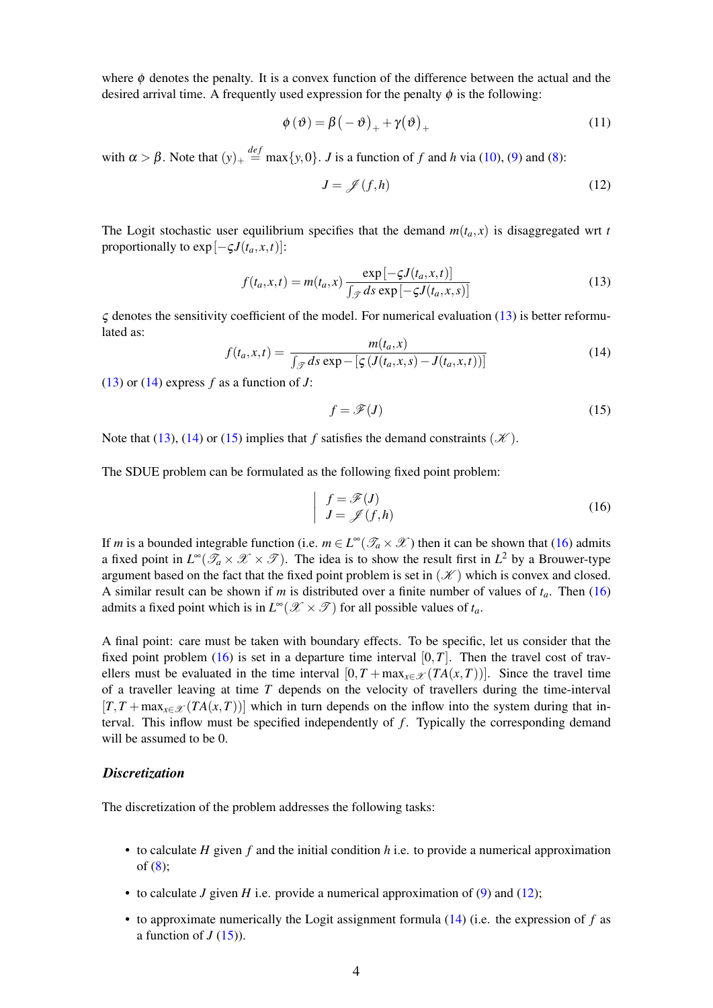where  $\phi$  denotes the penalty. It is a convex function of the difference between the actual and the desired arrival time. A frequently used expression for the penalty  $\phi$  is the following:

$$
\phi(\vartheta) = \beta(-\vartheta)_{+} + \gamma(\vartheta)_{+} \tag{11}
$$

with  $\alpha > \beta$ . Note that  $(y)_{+} \stackrel{def}{=} \max\{y, 0\}$ . *J* is a function of *f* and *h* via [\(10\)](#page-2-3), [\(9\)](#page-2-4) and [\(8\)](#page-2-5):

<span id="page-3-4"></span>
$$
J = \mathscr{J}(f, h) \tag{12}
$$

The Logit stochastic user equilibrium specifies that the demand  $m(t_a, x)$  is disaggregated wrt *t* proportionally to  $\exp[-\zeta J(t_a, x, t)]$ :

<span id="page-3-0"></span>
$$
f(t_a, x, t) = m(t_a, x) \frac{\exp[-\varsigma J(t_a, x, t)]}{\int_{\mathcal{F}} ds \exp[-\varsigma J(t_a, x, s)]}
$$
(13)

 $\zeta$  denotes the sensitivity coefficient of the model. For numerical evaluation [\(13\)](#page-3-0) is better reformulated as:

<span id="page-3-1"></span>
$$
f(t_a, x, t) = \frac{m(t_a, x)}{\int \mathcal{J} ds \exp[-\left[\mathcal{J}(t_a, x, s) - J(t_a, x, t)\right)]}
$$
(14)

[\(13\)](#page-3-0) or  $(14)$  express *f* as a function of *J*:

<span id="page-3-2"></span>
$$
f = \mathcal{F}(J) \tag{15}
$$

Note that [\(13\)](#page-3-0), [\(14\)](#page-3-1) or [\(15\)](#page-3-2) implies that *f* satisfies the demand constraints  $(\mathcal{K})$ .

The SDUE problem can be formulated as the following fixed point problem:

<span id="page-3-3"></span>
$$
\begin{cases}\nf = \mathcal{F}(J) \\
J = \mathcal{J}(f, h)\n\end{cases} (16)
$$

If *m* is a bounded integrable function (i.e.  $m \in L^{\infty}(\mathcal{T}_a \times \mathcal{X})$  then it can be shown that [\(16\)](#page-3-3) admits a fixed point in  $L^{\infty}(\mathcal{T}_a\times\mathcal{X}\times\mathcal{I})$ . The idea is to show the result first in  $L^2$  by a Brouwer-type argument based on the fact that the fixed point problem is set in  $(\mathcal{K})$  which is convex and closed. A similar result can be shown if *m* is distributed over a finite number of values of *ta*. Then [\(16\)](#page-3-3) admits a fixed point which is in  $L^{\infty}(\mathcal{X} \times \mathcal{T})$  for all possible values of  $t_a$ .

A final point: care must be taken with boundary effects. To be specific, let us consider that the fixed point problem [\(16\)](#page-3-3) is set in a departure time interval  $[0, T]$ . Then the travel cost of travellers must be evaluated in the time interval  $[0, T + \max_{x \in \mathcal{X}} (TA(x, T))]$ . Since the travel time of a traveller leaving at time *T* depends on the velocity of travellers during the time-interval  $[T, T + \max_{x \in \mathcal{X}} (TA(x, T))]$  which in turn depends on the inflow into the system during that interval. This inflow must be specified independently of *f*. Typically the corresponding demand will be assumed to be 0.

## *Discretization*

The discretization of the problem addresses the following tasks:

- to calculate *H* given *f* and the initial condition *h* i.e. to provide a numerical approximation of [\(8\)](#page-2-5);
- to calculate *J* given *H* i.e. provide a numerical approximation of [\(9\)](#page-2-4) and [\(12\)](#page-3-4);
- to approximate numerically the Logit assignment formula [\(14\)](#page-3-1) (i.e. the expression of *f* as a function of  $J(15)$  $J(15)$ ).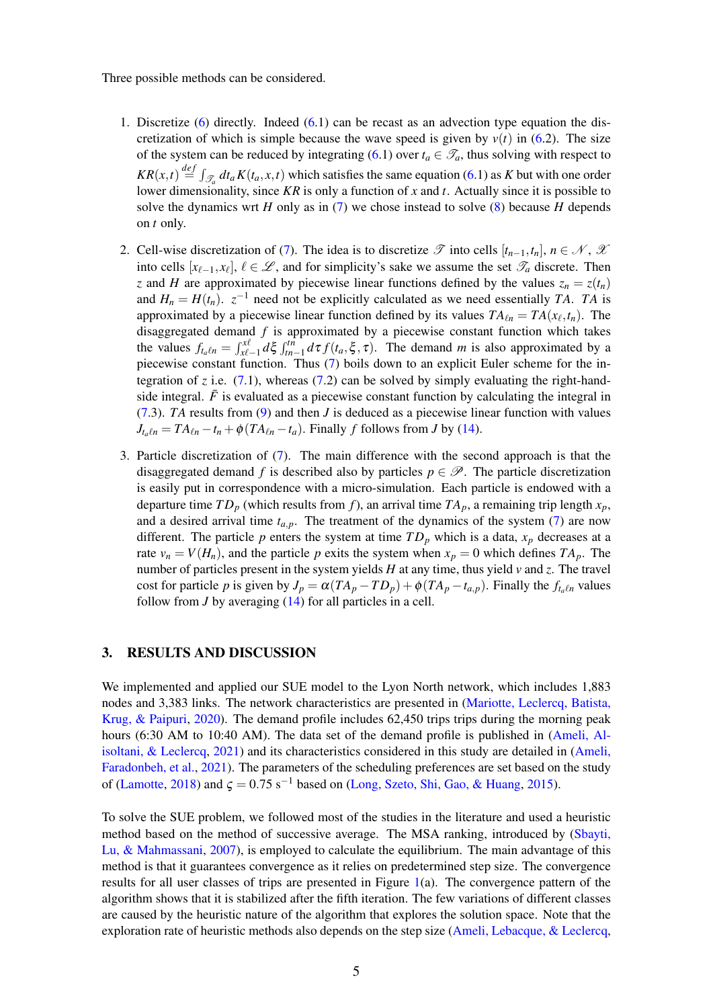Three possible methods can be considered.

- 1. Discretize [\(6\)](#page-2-1) directly. Indeed [\(6.](#page-2-1)1) can be recast as an advection type equation the discretization of which is simple because the wave speed is given by  $v(t)$  in [\(6.](#page-2-1)2). The size of the system can be reduced by integrating [\(6.](#page-2-1)1) over  $t_a \in \mathcal{T}_a$ , thus solving with respect to  $KR(x,t) \stackrel{def}{=} \int_{\mathscr{T}_a} dt_a K(t_a,x,t)$  which satisfies the same equation [\(6.](#page-2-1)1) as *K* but with one order lower dimensionality, since *KR* is only a function of *x* and *t*. Actually since it is possible to solve the dynamics wrt *H* only as in [\(7\)](#page-2-2) we chose instead to solve [\(8\)](#page-2-5) because *H* depends on *t* only.
- 2. Cell-wise discretization of [\(7\)](#page-2-2). The idea is to discretize  $\mathscr T$  into cells  $[t_{n-1}, t_n]$ ,  $n \in \mathscr N$ ,  $\mathscr X$ into cells  $[x_{\ell-1}, x_{\ell}], \ell \in \mathcal{L}$ , and for simplicity's sake we assume the set  $\mathcal{T}_a$  discrete. Then *z* and *H* are approximated by piecewise linear functions defined by the values  $z_n = z(t_n)$ and  $H_n = H(t_n)$ .  $z^{-1}$  need not be explicitly calculated as we need essentially *TA*. *TA* is approximated by a piecewise linear function defined by its values  $TA_{\ell n} = TA(x_{\ell}, t_n)$ . The disaggregated demand *f* is approximated by a piecewise constant function which takes the values  $f_{t_a\ell n} = \int_{x\ell-1}^{x\ell} d\xi \int_{tn-1}^{tn} d\tau f(t_a, \xi, \tau)$ . The demand *m* is also approximated by a piecewise constant function. Thus [\(7\)](#page-2-2) boils down to an explicit Euler scheme for the integration of *z* i.e.  $(7.1)$  $(7.1)$ , whereas  $(7.2)$  can be solved by simply evaluating the right-handside integral.  $\bar{F}$  is evaluated as a piecewise constant function by calculating the integral in [\(7.](#page-2-2)3). *TA* results from [\(9\)](#page-2-4) and then *J* is deduced as a piecewise linear function with values  $J_{t_n\ell n} = TA_{\ell n} - t_n + \phi (TA_{\ell n} - t_a)$ . Finally *f* follows from *J* by [\(14\)](#page-3-1).
- 3. Particle discretization of [\(7\)](#page-2-2). The main difference with the second approach is that the disaggregated demand *f* is described also by particles  $p \in \mathcal{P}$ . The particle discretization is easily put in correspondence with a micro-simulation. Each particle is endowed with a departure time  $TD_p$  (which results from f), an arrival time  $TA_p$ , a remaining trip length  $x_p$ , and a desired arrival time  $t_{a,p}$ . The treatment of the dynamics of the system  $(7)$  are now different. The particle *p* enters the system at time  $TD_p$  which is a data,  $x_p$  decreases at a rate  $v_n = V(H_n)$ , and the particle p exits the system when  $x_p = 0$  which defines  $TA_p$ . The number of particles present in the system yields *H* at any time, thus yield *v* and *z*. The travel cost for particle *p* is given by  $J_p = \alpha (TA_p - TD_p) + \phi (TA_p - t_{a,p})$ . Finally the  $f_{t_q(n)}$  values follow from  $J$  by averaging  $(14)$  for all particles in a cell.

# 3. RESULTS AND DISCUSSION

We implemented and applied our SUE model to the Lyon North network, which includes 1,883 nodes and 3,383 links. The network characteristics are presented in [\(Mariotte, Leclercq, Batista,](#page-6-9) [Krug, & Paipuri,](#page-6-9) [2020\)](#page-6-9). The demand profile includes 62,450 trips trips during the morning peak hours (6:30 AM to 10:40 AM). The data set of the demand profile is published in [\(Ameli, Al](#page-6-10)[isoltani, & Leclercq,](#page-6-10) [2021\)](#page-6-10) and its characteristics considered in this study are detailed in [\(Ameli,](#page-6-5) [Faradonbeh, et al.,](#page-6-5) [2021\)](#page-6-5). The parameters of the scheduling preferences are set based on the study of [\(Lamotte,](#page-6-8) [2018\)](#page-6-8) and  $\zeta = 0.75$  s<sup>-1</sup> based on [\(Long, Szeto, Shi, Gao, & Huang,](#page-6-11) [2015\)](#page-6-11).

To solve the SUE problem, we followed most of the studies in the literature and used a heuristic method based on the method of successive average. The MSA ranking, introduced by [\(Sbayti,](#page-7-3) [Lu, & Mahmassani,](#page-7-3) [2007\)](#page-7-3), is employed to calculate the equilibrium. The main advantage of this method is that it guarantees convergence as it relies on predetermined step size. The convergence results for all user classes of trips are presented in Figure [1\(](#page-5-0)a). The convergence pattern of the algorithm shows that it is stabilized after the fifth iteration. The few variations of different classes are caused by the heuristic nature of the algorithm that explores the solution space. Note that the exploration rate of heuristic methods also depends on the step size [\(Ameli, Lebacque, & Leclercq,](#page-6-12)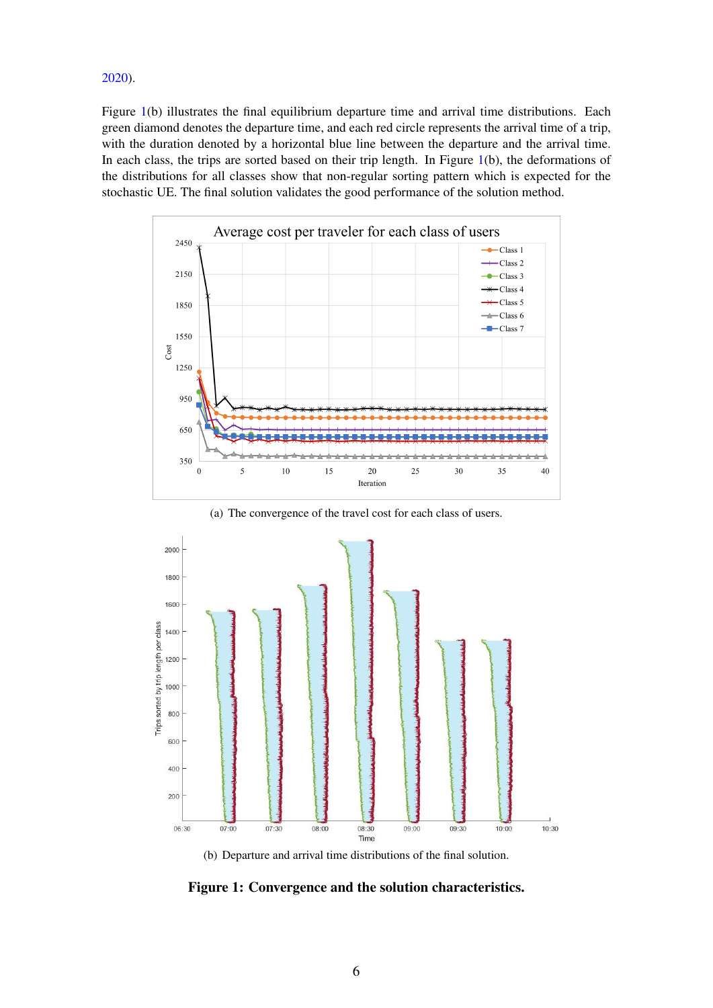[2020\)](#page-6-12).

Figure [1\(](#page-5-0)b) illustrates the final equilibrium departure time and arrival time distributions. Each green diamond denotes the departure time, and each red circle represents the arrival time of a trip, with the duration denoted by a horizontal blue line between the departure and the arrival time. In each class, the trips are sorted based on their trip length. In Figure [1\(](#page-5-0)b), the deformations of the distributions for all classes show that non-regular sorting pattern which is expected for the stochastic UE. The final solution validates the good performance of the solution method.

<span id="page-5-0"></span>

(a) The convergence of the travel cost for each class of users.



(b) Departure and arrival time distributions of the final solution.

Figure 1: Convergence and the solution characteristics.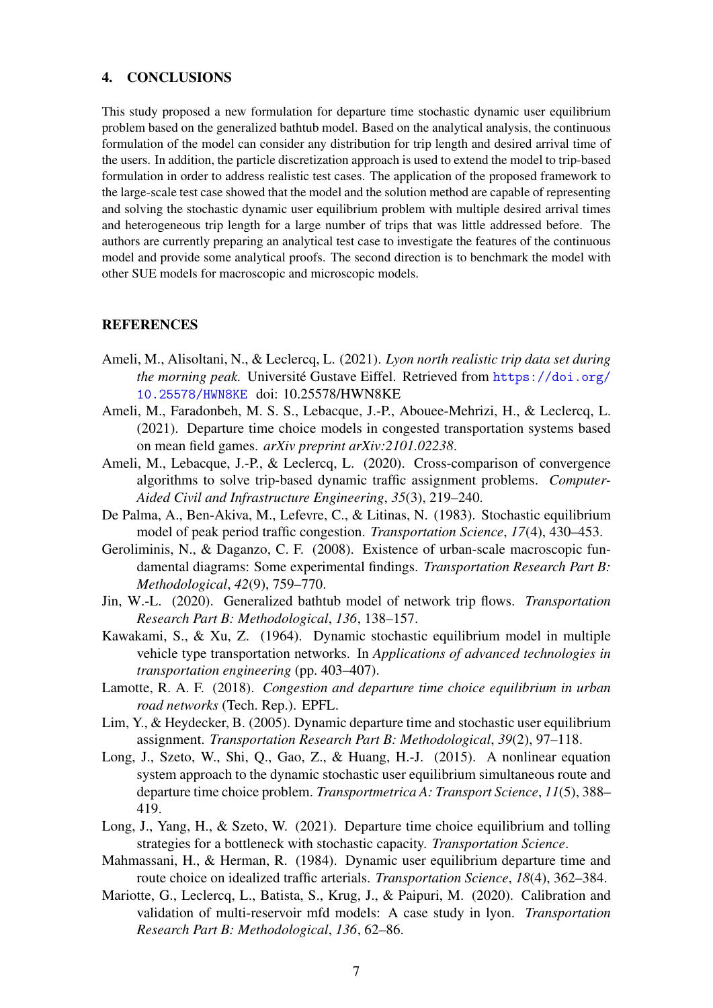### 4. CONCLUSIONS

This study proposed a new formulation for departure time stochastic dynamic user equilibrium problem based on the generalized bathtub model. Based on the analytical analysis, the continuous formulation of the model can consider any distribution for trip length and desired arrival time of the users. In addition, the particle discretization approach is used to extend the model to trip-based formulation in order to address realistic test cases. The application of the proposed framework to the large-scale test case showed that the model and the solution method are capable of representing and solving the stochastic dynamic user equilibrium problem with multiple desired arrival times and heterogeneous trip length for a large number of trips that was little addressed before. The authors are currently preparing an analytical test case to investigate the features of the continuous model and provide some analytical proofs. The second direction is to benchmark the model with other SUE models for macroscopic and microscopic models.

# **REFERENCES**

- <span id="page-6-10"></span>Ameli, M., Alisoltani, N., & Leclercq, L. (2021). *Lyon north realistic trip data set during the morning peak.* Université Gustave Eiffel. Retrieved from [https://doi.org/](https://doi.org/10.25578/HWN8KE) [10.25578/HWN8KE](https://doi.org/10.25578/HWN8KE) doi: 10.25578/HWN8KE
- <span id="page-6-5"></span>Ameli, M., Faradonbeh, M. S. S., Lebacque, J.-P., Abouee-Mehrizi, H., & Leclercq, L. (2021). Departure time choice models in congested transportation systems based on mean field games. *arXiv preprint arXiv:2101.02238*.
- <span id="page-6-12"></span>Ameli, M., Lebacque, J.-P., & Leclercq, L. (2020). Cross-comparison of convergence algorithms to solve trip-based dynamic traffic assignment problems. *Computer-Aided Civil and Infrastructure Engineering*, *35*(3), 219–240.
- <span id="page-6-1"></span>De Palma, A., Ben-Akiva, M., Lefevre, C., & Litinas, N. (1983). Stochastic equilibrium model of peak period traffic congestion. *Transportation Science*, *17*(4), 430–453.
- <span id="page-6-3"></span>Geroliminis, N., & Daganzo, C. F. (2008). Existence of urban-scale macroscopic fundamental diagrams: Some experimental findings. *Transportation Research Part B: Methodological*, *42*(9), 759–770.
- <span id="page-6-4"></span>Jin, W.-L. (2020). Generalized bathtub model of network trip flows. *Transportation Research Part B: Methodological*, *136*, 138–157.
- <span id="page-6-0"></span>Kawakami, S., & Xu, Z. (1964). Dynamic stochastic equilibrium model in multiple vehicle type transportation networks. In *Applications of advanced technologies in transportation engineering* (pp. 403–407).
- <span id="page-6-8"></span>Lamotte, R. A. F. (2018). *Congestion and departure time choice equilibrium in urban road networks* (Tech. Rep.). EPFL.
- <span id="page-6-6"></span>Lim, Y., & Heydecker, B. (2005). Dynamic departure time and stochastic user equilibrium assignment. *Transportation Research Part B: Methodological*, *39*(2), 97–118.
- <span id="page-6-11"></span>Long, J., Szeto, W., Shi, Q., Gao, Z., & Huang, H.-J. (2015). A nonlinear equation system approach to the dynamic stochastic user equilibrium simultaneous route and departure time choice problem. *Transportmetrica A: Transport Science*, *11*(5), 388– 419.
- <span id="page-6-7"></span>Long, J., Yang, H., & Szeto, W. (2021). Departure time choice equilibrium and tolling strategies for a bottleneck with stochastic capacity. *Transportation Science*.
- <span id="page-6-2"></span>Mahmassani, H., & Herman, R. (1984). Dynamic user equilibrium departure time and route choice on idealized traffic arterials. *Transportation Science*, *18*(4), 362–384.
- <span id="page-6-9"></span>Mariotte, G., Leclercq, L., Batista, S., Krug, J., & Paipuri, M. (2020). Calibration and validation of multi-reservoir mfd models: A case study in lyon. *Transportation Research Part B: Methodological*, *136*, 62–86.